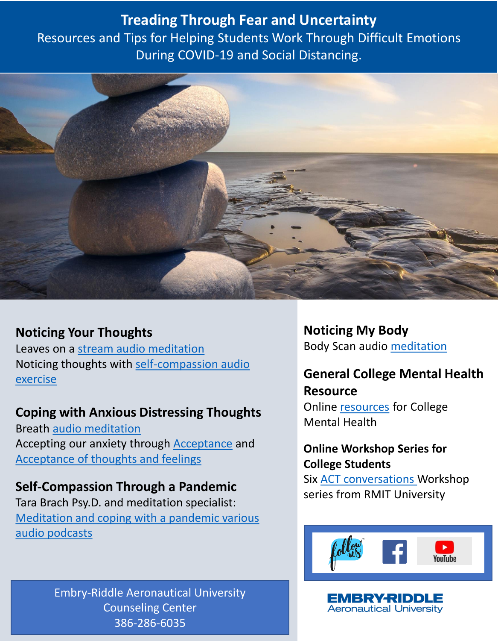**Treading Through Fear and Uncertainty** Resources and Tips for Helping Students Work Through Difficult Emotions During COVID-19 and Social Distancing.



### **Noticing Your Thoughts**

Leaves on a [stream audio meditation](https://jasonluoma.com/media/Leaves%20on%20the%20stream.mp3) [Noticing thoughts with self-compassion audio](https://self-compassion.org/wp-content/uploads/meditations/noting.practice.MP3) exercise

### **Coping with Anxious Distressing Thoughts**

Breath [audio meditation](https://portlandpsychotherapy.com/wp-content/uploads/sites/28/Brief-mindfulness-of-breath-10-minutes.mp3) Accepting our anxiety through [Acceptance](http://www.integrativehealthpartners.org/downloads/Acceptance%20of%20Anxiety.mp3) and [Acceptance of thoughts and feelings](http://www.integrativehealthpartners.org/downloads/mp3/ACT_AcceptanceOfThoughtsAndFeelings.mp3) 

### **Self-Compassion Through a Pandemic**

Tara Brach Psy.D. and meditation specialist: [Meditation and coping with a pandemic various](https://podcasts.apple.com/us/podcast/tara-brach/id265264862?mt=2)  audio podcasts

> Embry-Riddle Aeronautical University Counseling Center 386-286-6035

**Noticing My Body**  Body Scan audio [meditation](https://portlandpsychotherapy.com/wp-content/uploads/sites/28/2020/01/mindfulness_of_body_body_scan.mp3)

# **General College Mental Health Resource**

Online [resources](http://www.ulifeline.org/stay_well) for College Mental Health

### **Online Workshop Series for College Students**

Six [ACT conversations W](https://emedia.rmit.edu.au/communication/content/1_Language/00_intro.htm)orkshop series from RMIT University